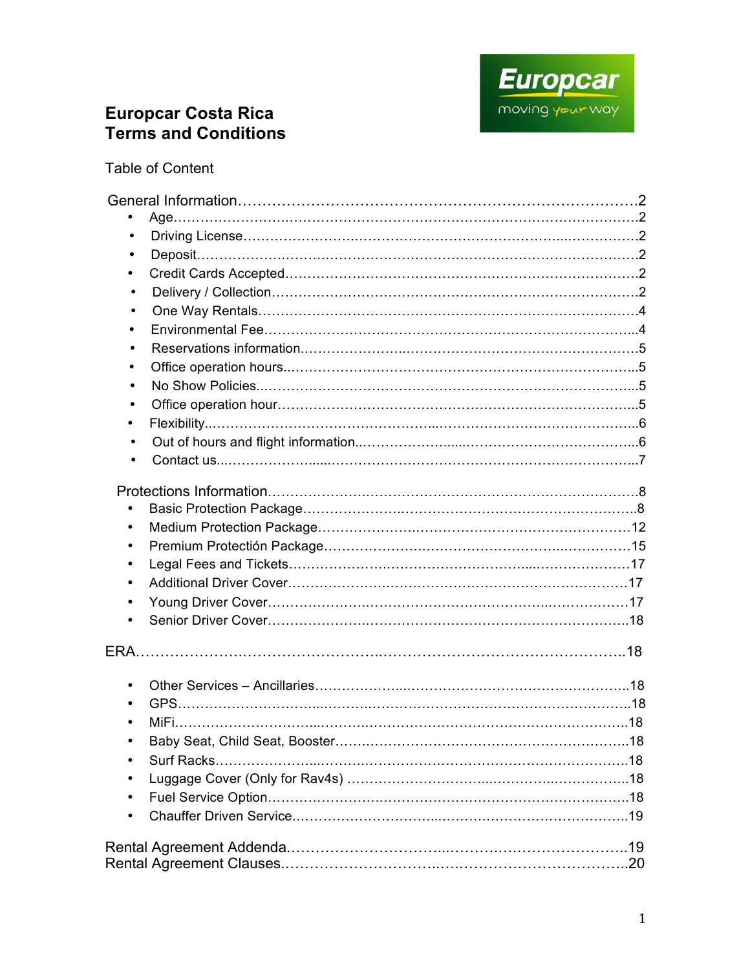

# **Europcar Costa Rica Terms and Conditions**

Table of Content

| $\bullet$ |
|-----------|
|           |
| $\bullet$ |
| $\bullet$ |
| $\bullet$ |
| $\bullet$ |
| $\bullet$ |
| $\bullet$ |
| ٠         |
|           |
|           |
| ٠         |
|           |
|           |
|           |
| ٠         |
|           |
| ٠         |
|           |
| $\bullet$ |
| $\bullet$ |
|           |
|           |
|           |
|           |
|           |
|           |
|           |
|           |
|           |
|           |
|           |
|           |
|           |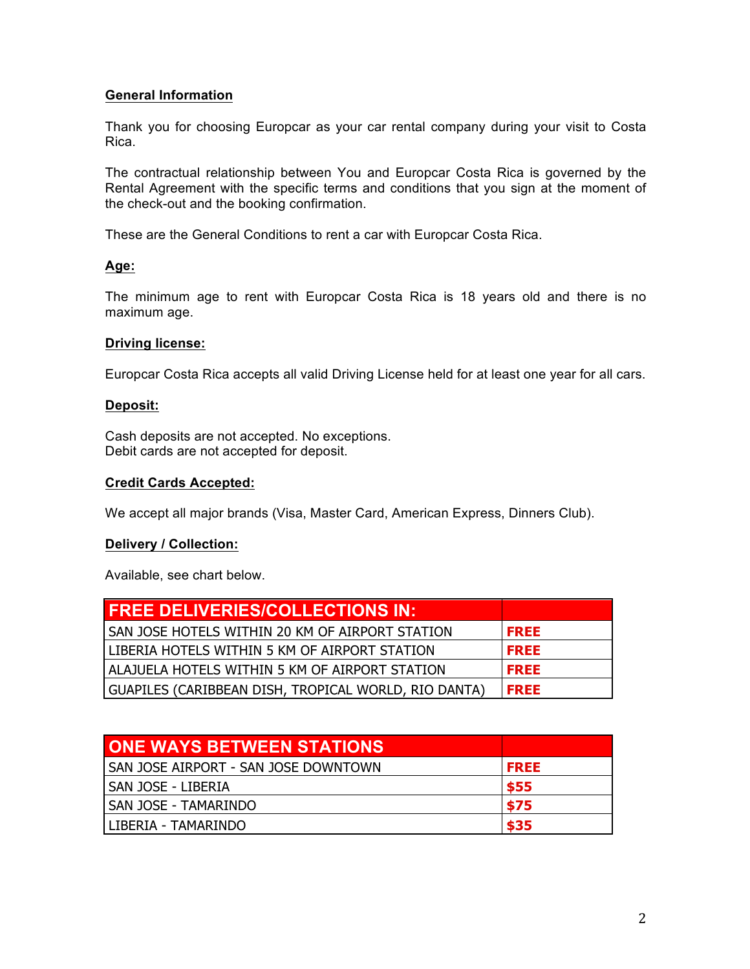## **General Information**

Thank you for choosing Europcar as your car rental company during your visit to Costa Rica.

The contractual relationship between You and Europcar Costa Rica is governed by the Rental Agreement with the specific terms and conditions that you sign at the moment of the check-out and the booking confirmation.

These are the General Conditions to rent a car with Europcar Costa Rica.

## **Age:**

The minimum age to rent with Europcar Costa Rica is 18 years old and there is no maximum age.

#### **Driving license:**

Europcar Costa Rica accepts all valid Driving License held for at least one year for all cars.

#### **Deposit:**

Cash deposits are not accepted. No exceptions. Debit cards are not accepted for deposit.

#### **Credit Cards Accepted:**

We accept all major brands (Visa, Master Card, American Express, Dinners Club).

## **Delivery / Collection:**

Available, see chart below.

| <b>FREE DELIVERIES/COLLECTIONS IN:</b>               |             |
|------------------------------------------------------|-------------|
| I SAN JOSE HOTELS WITHIN 20 KM OF AIRPORT STATION    | <b>FREE</b> |
| LIBERIA HOTELS WITHIN 5 KM OF AIRPORT STATION        | <b>FREE</b> |
| ALAJUELA HOTELS WITHIN 5 KM OF AIRPORT STATION       | <b>FREE</b> |
| GUAPILES (CARIBBEAN DISH, TROPICAL WORLD, RIO DANTA) | <b>FREE</b> |

| <b>ONE WAYS BETWEEN STATIONS</b>     |             |
|--------------------------------------|-------------|
| SAN JOSE AIRPORT - SAN JOSE DOWNTOWN | <b>FREE</b> |
| l SAN JOSE - LIBERIA                 | \$55        |
| I SAN JOSE - TAMARINDO               | \$75        |
| l LIBERIA - TAMARINDO                | \$35        |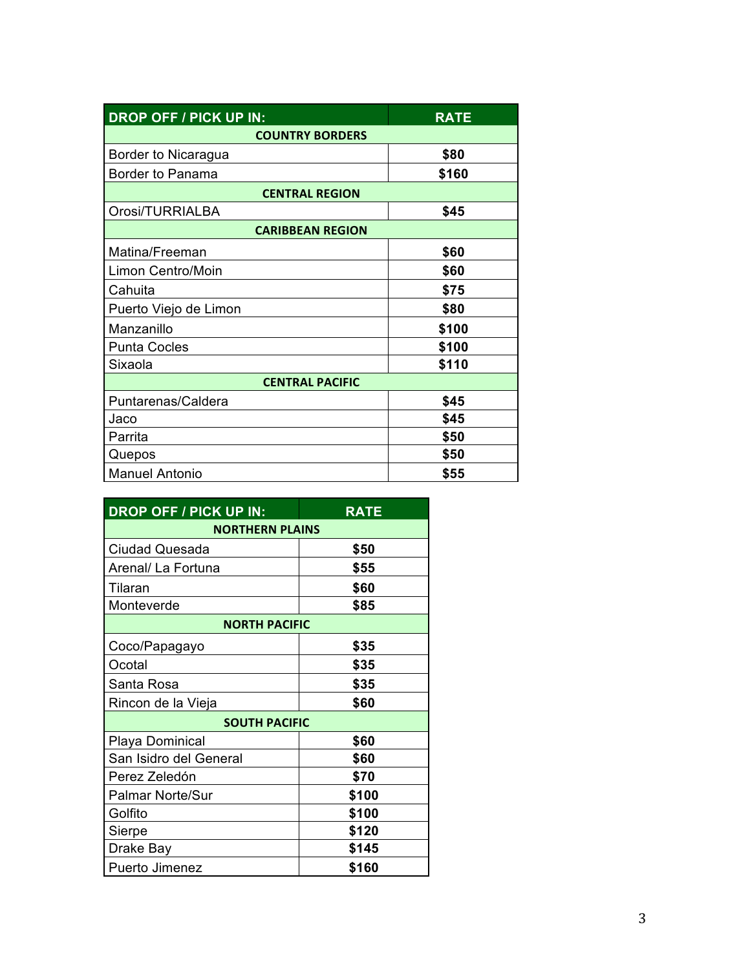| <b>DROP OFF / PICK UP IN:</b> | <b>RATE</b> |  |
|-------------------------------|-------------|--|
| <b>COUNTRY BORDERS</b>        |             |  |
| Border to Nicaragua           | \$80        |  |
| Border to Panama              | \$160       |  |
| <b>CENTRAL REGION</b>         |             |  |
| Orosi/TURRIALBA               | \$45        |  |
| <b>CARIBBEAN REGION</b>       |             |  |
| Matina/Freeman                | \$60        |  |
| Limon Centro/Moin             | \$60        |  |
| Cahuita                       | \$75        |  |
| Puerto Viejo de Limon         | \$80        |  |
| Manzanillo                    | \$100       |  |
| <b>Punta Cocles</b>           | \$100       |  |
| Sixaola                       | \$110       |  |
| <b>CENTRAL PACIFIC</b>        |             |  |
| Puntarenas/Caldera            | \$45        |  |
| Jaco                          | \$45        |  |
| Parrita                       | \$50        |  |
| Quepos                        | \$50        |  |
| <b>Manuel Antonio</b>         | \$55        |  |

| <b>DROP OFF / PICK UP IN:</b> | <b>RATE</b> |  |
|-------------------------------|-------------|--|
| <b>NORTHERN PLAINS</b>        |             |  |
| Ciudad Quesada                | \$50        |  |
| Arenal/ La Fortuna            | \$55        |  |
| Tilaran                       | \$60        |  |
| Monteverde                    | \$85        |  |
| <b>NORTH PACIFIC</b>          |             |  |
| Coco/Papagayo                 | \$35        |  |
| Ocotal                        | \$35        |  |
| Santa Rosa                    | \$35        |  |
| Rincon de la Vieja            | \$60        |  |
| <b>SOUTH PACIFIC</b>          |             |  |
| Playa Dominical               | \$60        |  |
| San Isidro del General        | \$60        |  |
| Perez Zeledón                 | \$70        |  |
| <b>Palmar Norte/Sur</b>       | \$100       |  |
| Golfito                       | \$100       |  |
| Sierpe                        | \$120       |  |
| Drake Bay                     | \$145       |  |
| Puerto Jimenez                | \$160       |  |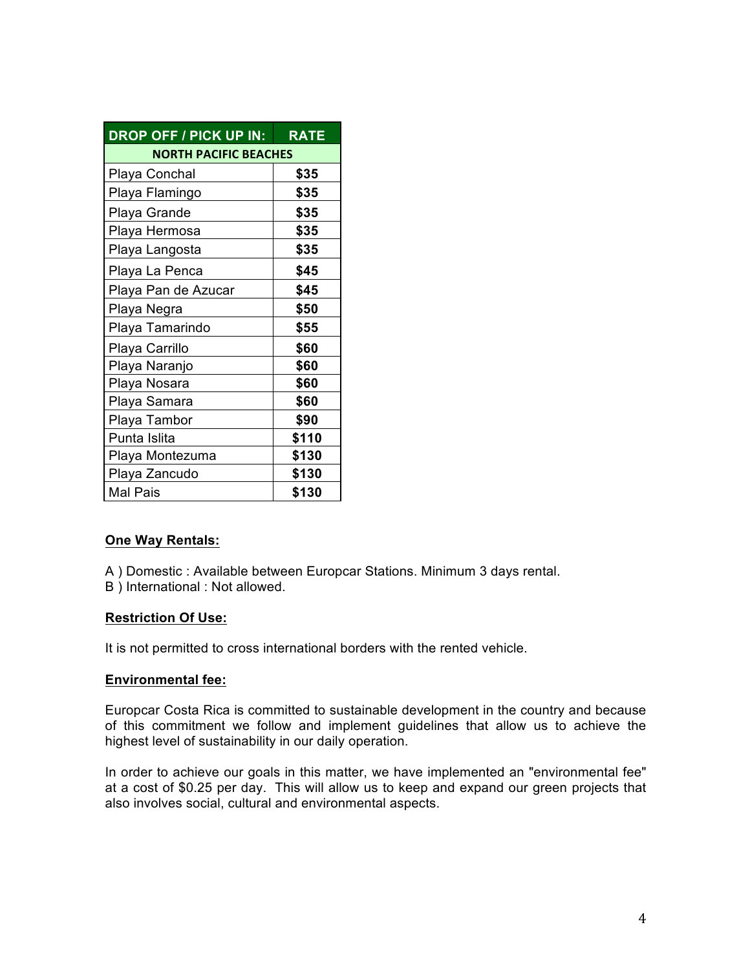| <b>DROP OFF / PICK UP IN:</b> | <b>RATE</b> |  |
|-------------------------------|-------------|--|
| <b>NORTH PACIFIC BEACHES</b>  |             |  |
| Playa Conchal                 | \$35        |  |
| Playa Flamingo                | \$35        |  |
| Playa Grande                  | \$35        |  |
| Playa Hermosa                 | \$35        |  |
| Playa Langosta                | \$35        |  |
| Playa La Penca                | \$45        |  |
| Playa Pan de Azucar           | \$45        |  |
| Playa Negra                   | \$50        |  |
| Playa Tamarindo               | \$55        |  |
| Playa Carrillo                | \$60        |  |
| Playa Naranjo                 | \$60        |  |
| Playa Nosara                  | \$60        |  |
| Playa Samara                  | \$60        |  |
| Playa Tambor                  | \$90        |  |
| Punta Islita                  | \$110       |  |
| Playa Montezuma               | \$130       |  |
| Playa Zancudo                 | \$130       |  |
| Mal Pais                      | \$130       |  |

## **One Way Rentals:**

A ) Domestic : Available between Europcar Stations. Minimum 3 days rental.

B ) International : Not allowed.

#### **Restriction Of Use:**

It is not permitted to cross international borders with the rented vehicle.

#### **Environmental fee:**

Europcar Costa Rica is committed to sustainable development in the country and because of this commitment we follow and implement guidelines that allow us to achieve the highest level of sustainability in our daily operation.

In order to achieve our goals in this matter, we have implemented an "environmental fee" at a cost of \$0.25 per day. This will allow us to keep and expand our green projects that also involves social, cultural and environmental aspects.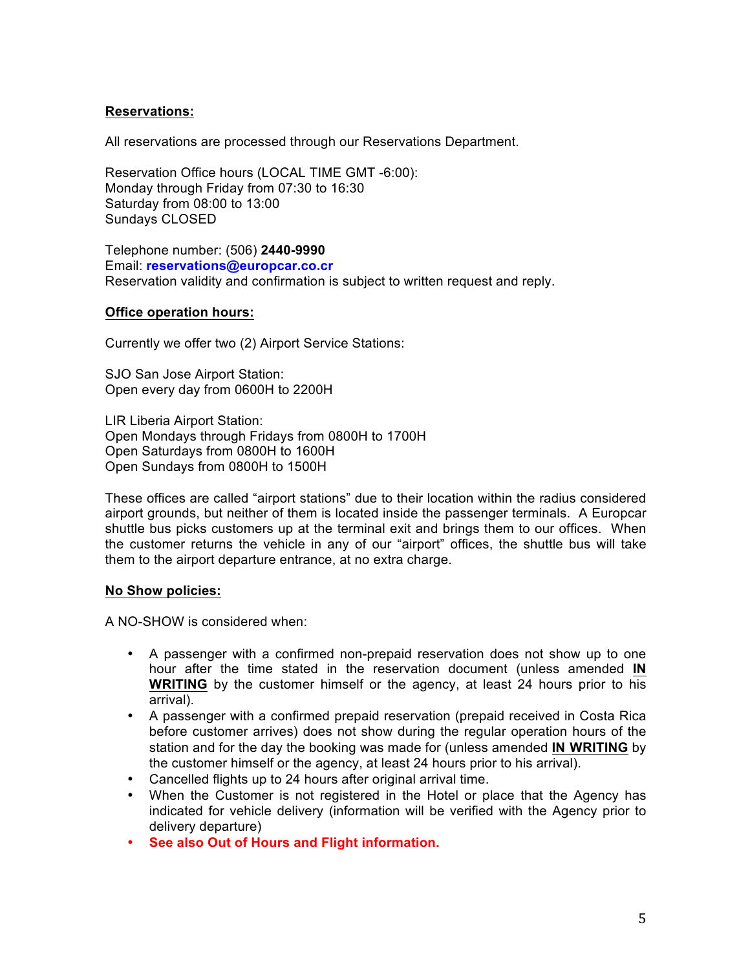## **Reservations:**

All reservations are processed through our Reservations Department.

Reservation Office hours (LOCAL TIME GMT -6:00): Monday through Friday from 07:30 to 16:30 Saturday from 08:00 to 13:00 Sundays CLOSED

Telephone number: (506) **2440-9990** Email: **reservations@europcar.co.cr** Reservation validity and confirmation is subject to written request and reply.

#### **Office operation hours:**

Currently we offer two (2) Airport Service Stations:

SJO San Jose Airport Station: Open every day from 0600H to 2200H

LIR Liberia Airport Station: Open Mondays through Fridays from 0800H to 1700H Open Saturdays from 0800H to 1600H Open Sundays from 0800H to 1500H

These offices are called "airport stations" due to their location within the radius considered airport grounds, but neither of them is located inside the passenger terminals. A Europcar shuttle bus picks customers up at the terminal exit and brings them to our offices. When the customer returns the vehicle in any of our "airport" offices, the shuttle bus will take them to the airport departure entrance, at no extra charge.

## **No Show policies:**

A NO-SHOW is considered when:

- A passenger with a confirmed non-prepaid reservation does not show up to one hour after the time stated in the reservation document (unless amended **IN WRITING** by the customer himself or the agency, at least 24 hours prior to his arrival).
- A passenger with a confirmed prepaid reservation (prepaid received in Costa Rica before customer arrives) does not show during the regular operation hours of the station and for the day the booking was made for (unless amended **IN WRITING** by the customer himself or the agency, at least 24 hours prior to his arrival).
- Cancelled flights up to 24 hours after original arrival time.
- When the Customer is not registered in the Hotel or place that the Agency has indicated for vehicle delivery (information will be verified with the Agency prior to delivery departure)
- **See also Out of Hours and Flight information.**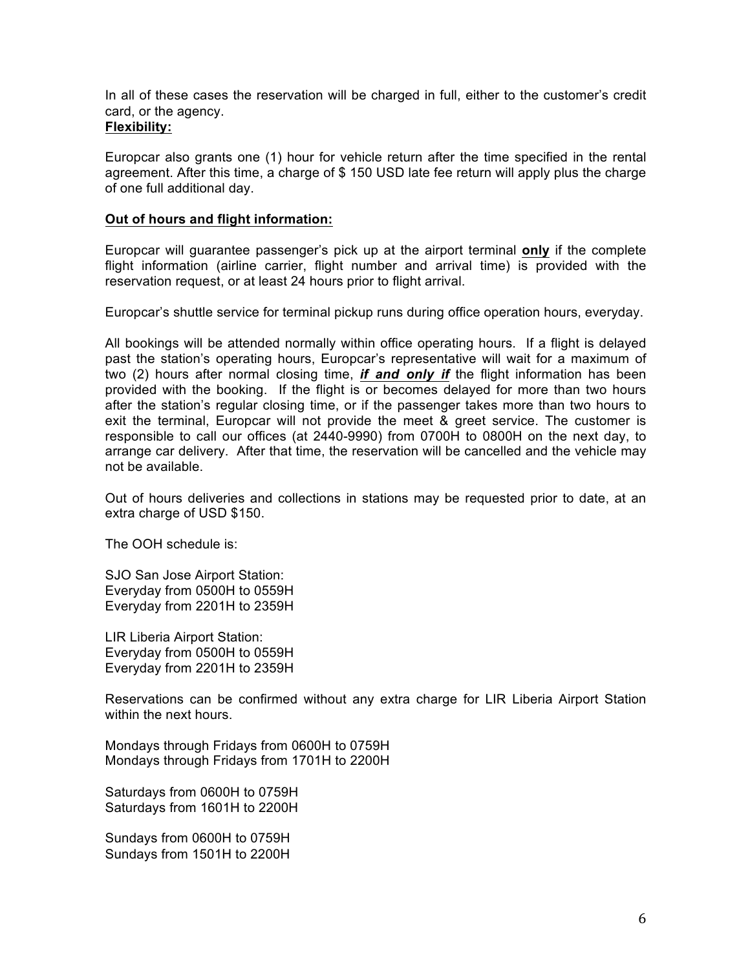In all of these cases the reservation will be charged in full, either to the customer's credit card, or the agency.

#### **Flexibility:**

Europcar also grants one (1) hour for vehicle return after the time specified in the rental agreement. After this time, a charge of \$ 150 USD late fee return will apply plus the charge of one full additional day.

## **Out of hours and flight information:**

Europcar will guarantee passenger's pick up at the airport terminal **only** if the complete flight information (airline carrier, flight number and arrival time) is provided with the reservation request, or at least 24 hours prior to flight arrival.

Europcar's shuttle service for terminal pickup runs during office operation hours, everyday.

All bookings will be attended normally within office operating hours. If a flight is delayed past the station's operating hours, Europcar's representative will wait for a maximum of two (2) hours after normal closing time, *if and only if* the flight information has been provided with the booking. If the flight is or becomes delayed for more than two hours after the station's regular closing time, or if the passenger takes more than two hours to exit the terminal, Europcar will not provide the meet & greet service. The customer is responsible to call our offices (at 2440-9990) from 0700H to 0800H on the next day, to arrange car delivery. After that time, the reservation will be cancelled and the vehicle may not be available.

Out of hours deliveries and collections in stations may be requested prior to date, at an extra charge of USD \$150.

The OOH schedule is:

SJO San Jose Airport Station: Everyday from 0500H to 0559H Everyday from 2201H to 2359H

LIR Liberia Airport Station: Everyday from 0500H to 0559H Everyday from 2201H to 2359H

Reservations can be confirmed without any extra charge for LIR Liberia Airport Station within the next hours.

Mondays through Fridays from 0600H to 0759H Mondays through Fridays from 1701H to 2200H

Saturdays from 0600H to 0759H Saturdays from 1601H to 2200H

Sundays from 0600H to 0759H Sundays from 1501H to 2200H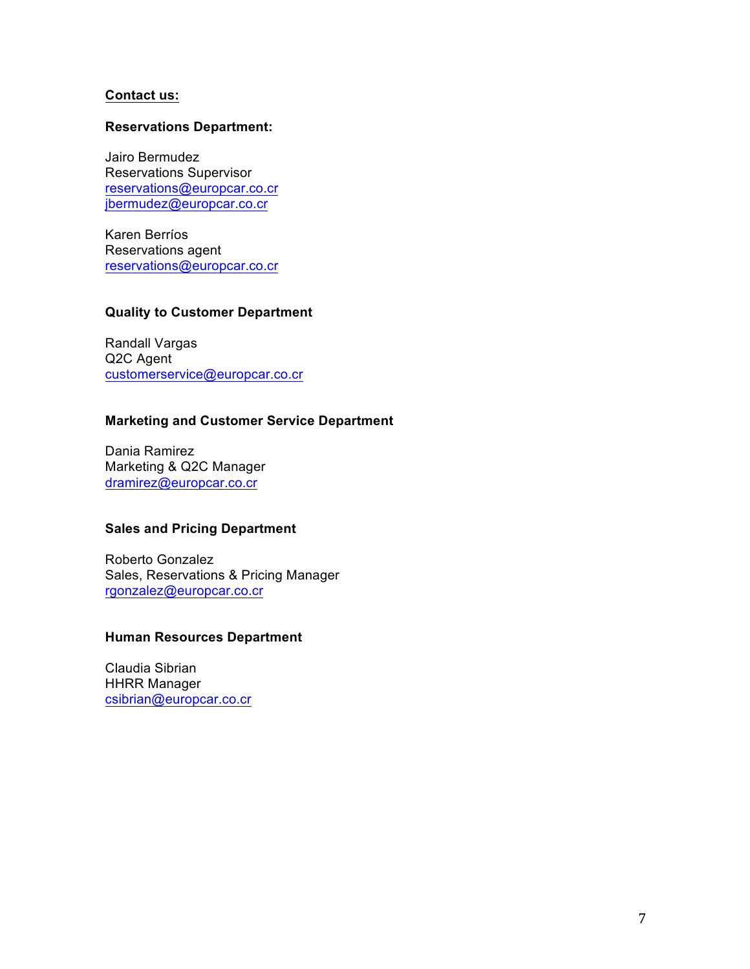#### **Contact us:**

#### **Reservations Department:**

Jairo Bermudez Reservations Supervisor reservations@europcar.co.cr jbermudez@europcar.co.cr

Karen Berríos Reservations agent reservations@europcar.co.cr

## **Quality to Customer Department**

Randall Vargas Q2C Agent customerservice@europcar.co.cr

## **Marketing and Customer Service Department**

Dania Ramirez Marketing & Q2C Manager dramirez@europcar.co.cr

## **Sales and Pricing Department**

Roberto Gonzalez Sales, Reservations & Pricing Manager rgonzalez@europcar.co.cr

#### **Human Resources Department**

Claudia Sibrian HHRR Manager csibrian@europcar.co.cr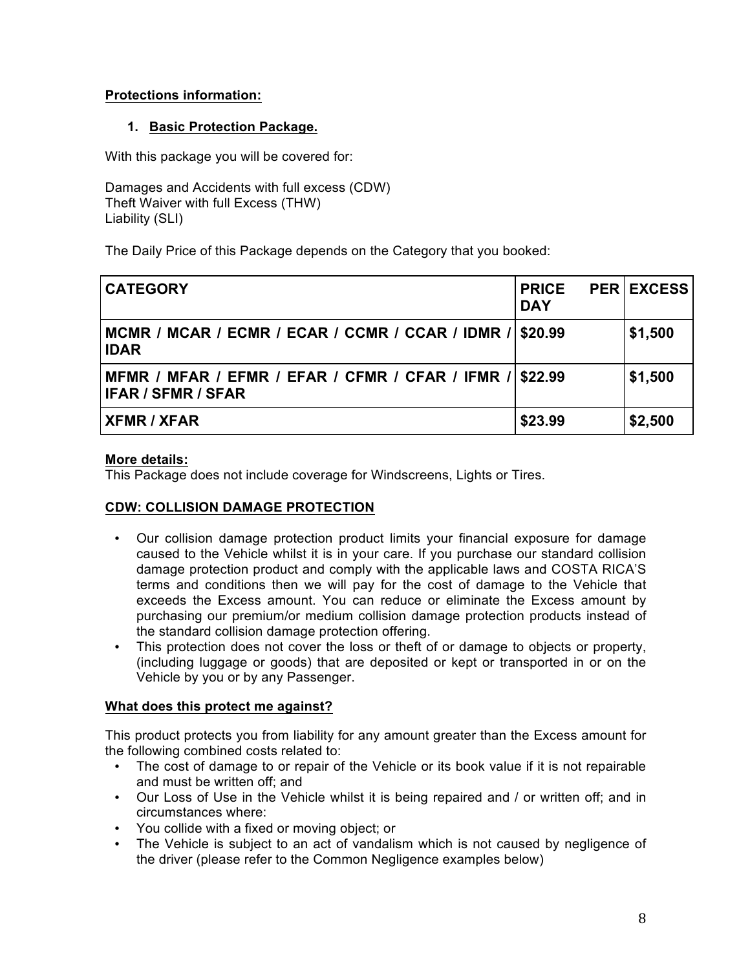## **Protections information:**

## **1. Basic Protection Package.**

With this package you will be covered for:

Damages and Accidents with full excess (CDW) Theft Waiver with full Excess (THW) Liability (SLI)

The Daily Price of this Package depends on the Category that you booked:

| <b>CATEGORY</b>                                                                       | <b>PRICE</b><br><b>DAY</b> | <b>PER EXCESS</b> |
|---------------------------------------------------------------------------------------|----------------------------|-------------------|
| MCMR / MCAR / ECMR / ECAR / CCMR / CCAR / IDMR /<br><b>IDAR</b>                       | \$20.99                    | \$1,500           |
| MFMR / MFAR / EFMR / EFAR / CFMR / CFAR / IFMR / \$22.99<br><b>IFAR / SFMR / SFAR</b> |                            | \$1,500           |
| <b>XFMR / XFAR</b>                                                                    | \$23.99                    | \$2,500           |

## **More details:**

This Package does not include coverage for Windscreens, Lights or Tires.

## **CDW: COLLISION DAMAGE PROTECTION**

- Our collision damage protection product limits your financial exposure for damage caused to the Vehicle whilst it is in your care. If you purchase our standard collision damage protection product and comply with the applicable laws and COSTA RICA'S terms and conditions then we will pay for the cost of damage to the Vehicle that exceeds the Excess amount. You can reduce or eliminate the Excess amount by purchasing our premium/or medium collision damage protection products instead of the standard collision damage protection offering.
- This protection does not cover the loss or theft of or damage to objects or property, (including luggage or goods) that are deposited or kept or transported in or on the Vehicle by you or by any Passenger.

## **What does this protect me against?**

This product protects you from liability for any amount greater than the Excess amount for the following combined costs related to:

- The cost of damage to or repair of the Vehicle or its book value if it is not repairable and must be written off; and
- Our Loss of Use in the Vehicle whilst it is being repaired and / or written off; and in circumstances where:
- You collide with a fixed or moving object; or
- The Vehicle is subject to an act of vandalism which is not caused by negligence of the driver (please refer to the Common Negligence examples below)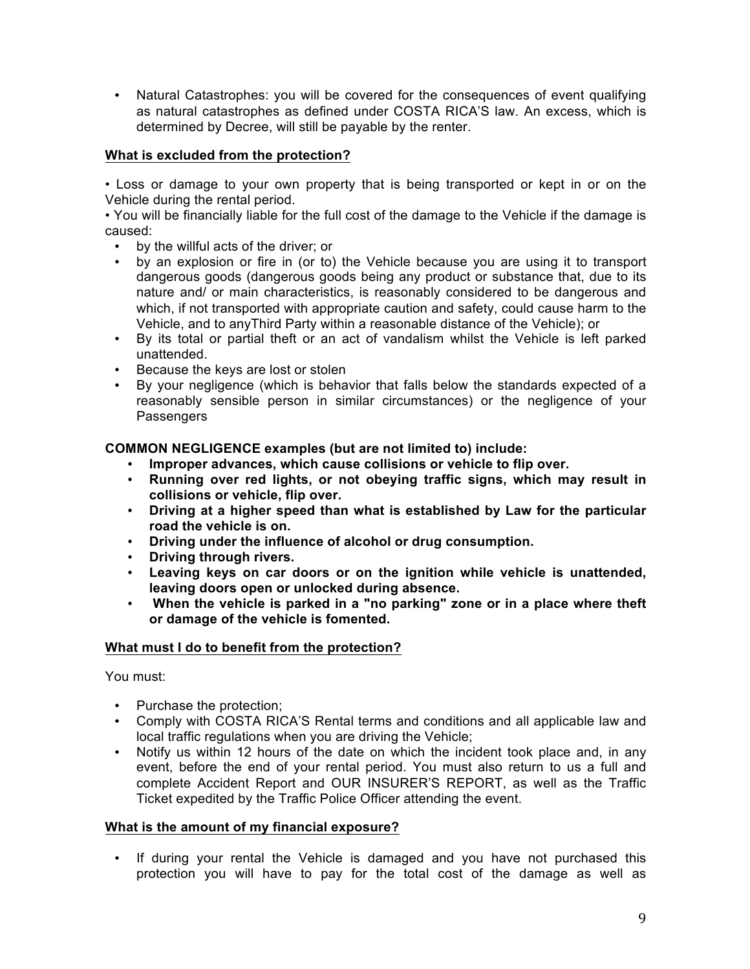• Natural Catastrophes: you will be covered for the consequences of event qualifying as natural catastrophes as defined under COSTA RICA'S law. An excess, which is determined by Decree, will still be payable by the renter.

## **What is excluded from the protection?**

• Loss or damage to your own property that is being transported or kept in or on the Vehicle during the rental period.

• You will be financially liable for the full cost of the damage to the Vehicle if the damage is caused:

- by the willful acts of the driver; or<br>• by an explosion or fire in (or to)
- by an explosion or fire in (or to) the Vehicle because you are using it to transport dangerous goods (dangerous goods being any product or substance that, due to its nature and/ or main characteristics, is reasonably considered to be dangerous and which, if not transported with appropriate caution and safety, could cause harm to the Vehicle, and to anyThird Party within a reasonable distance of the Vehicle); or
- By its total or partial theft or an act of vandalism whilst the Vehicle is left parked unattended.
- Because the keys are lost or stolen
- By your negligence (which is behavior that falls below the standards expected of a reasonably sensible person in similar circumstances) or the negligence of your Passengers

**COMMON NEGLIGENCE examples (but are not limited to) include:**

- **Improper advances, which cause collisions or vehicle to flip over.**
- **Running over red lights, or not obeying traffic signs, which may result in collisions or vehicle, flip over.**
- **Driving at a higher speed than what is established by Law for the particular road the vehicle is on.**
- **Driving under the influence of alcohol or drug consumption.**
- **Driving through rivers.**
- **Leaving keys on car doors or on the ignition while vehicle is unattended, leaving doors open or unlocked during absence.**
- **When the vehicle is parked in a "no parking" zone or in a place where theft or damage of the vehicle is fomented.**

## **What must I do to benefit from the protection?**

You must:

- Purchase the protection;
- Comply with COSTA RICA'S Rental terms and conditions and all applicable law and local traffic regulations when you are driving the Vehicle;
- Notify us within 12 hours of the date on which the incident took place and, in any event, before the end of your rental period. You must also return to us a full and complete Accident Report and OUR INSURER'S REPORT, as well as the Traffic Ticket expedited by the Traffic Police Officer attending the event.

## **What is the amount of my financial exposure?**

• If during your rental the Vehicle is damaged and you have not purchased this protection you will have to pay for the total cost of the damage as well as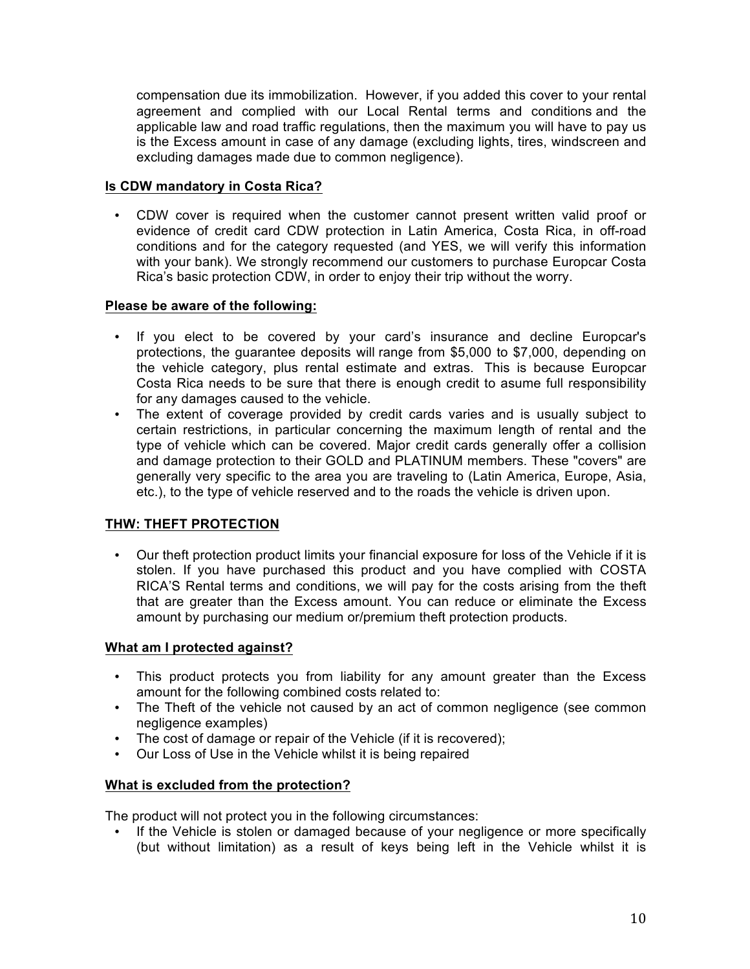compensation due its immobilization. However, if you added this cover to your rental agreement and complied with our Local Rental terms and conditions and the applicable law and road traffic regulations, then the maximum you will have to pay us is the Excess amount in case of any damage (excluding lights, tires, windscreen and excluding damages made due to common negligence).

## **Is CDW mandatory in Costa Rica?**

• CDW cover is required when the customer cannot present written valid proof or evidence of credit card CDW protection in Latin America, Costa Rica, in off-road conditions and for the category requested (and YES, we will verify this information with your bank). We strongly recommend our customers to purchase Europcar Costa Rica's basic protection CDW, in order to enjoy their trip without the worry.

## **Please be aware of the following:**

- If you elect to be covered by your card's insurance and decline Europcar's protections, the guarantee deposits will range from \$5,000 to \$7,000, depending on the vehicle category, plus rental estimate and extras. This is because Europcar Costa Rica needs to be sure that there is enough credit to asume full responsibility for any damages caused to the vehicle.
- The extent of coverage provided by credit cards varies and is usually subject to certain restrictions, in particular concerning the maximum length of rental and the type of vehicle which can be covered. Major credit cards generally offer a collision and damage protection to their GOLD and PLATINUM members. These "covers" are generally very specific to the area you are traveling to (Latin America, Europe, Asia, etc.), to the type of vehicle reserved and to the roads the vehicle is driven upon.

## **THW: THEFT PROTECTION**

• Our theft protection product limits your financial exposure for loss of the Vehicle if it is stolen. If you have purchased this product and you have complied with COSTA RICA'S Rental terms and conditions, we will pay for the costs arising from the theft that are greater than the Excess amount. You can reduce or eliminate the Excess amount by purchasing our medium or/premium theft protection products.

## **What am I protected against?**

- This product protects you from liability for any amount greater than the Excess amount for the following combined costs related to:
- The Theft of the vehicle not caused by an act of common negligence (see common negligence examples)
- The cost of damage or repair of the Vehicle (if it is recovered);
- Our Loss of Use in the Vehicle whilst it is being repaired

## **What is excluded from the protection?**

The product will not protect you in the following circumstances:

• If the Vehicle is stolen or damaged because of your negligence or more specifically (but without limitation) as a result of keys being left in the Vehicle whilst it is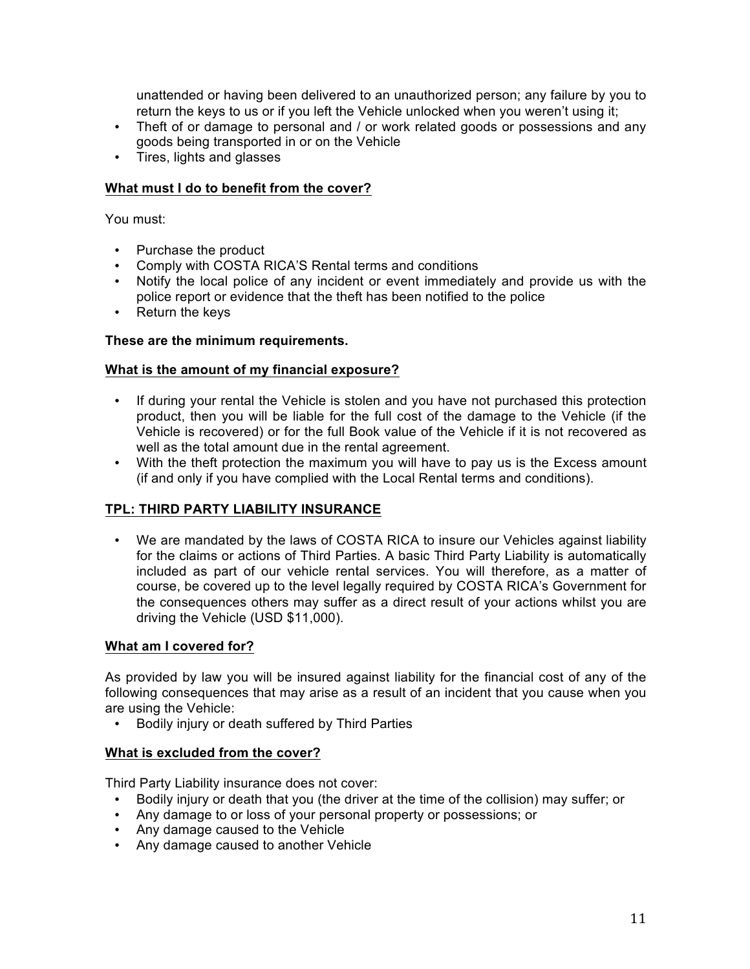unattended or having been delivered to an unauthorized person; any failure by you to return the keys to us or if you left the Vehicle unlocked when you weren't using it;

- Theft of or damage to personal and / or work related goods or possessions and any goods being transported in or on the Vehicle
- Tires, lights and glasses

## **What must I do to benefit from the cover?**

You must:

- Purchase the product
- Comply with COSTA RICA'S Rental terms and conditions
- Notify the local police of any incident or event immediately and provide us with the police report or evidence that the theft has been notified to the police
- Return the keys

#### **These are the minimum requirements.**

#### **What is the amount of my financial exposure?**

- If during your rental the Vehicle is stolen and you have not purchased this protection product, then you will be liable for the full cost of the damage to the Vehicle (if the Vehicle is recovered) or for the full Book value of the Vehicle if it is not recovered as well as the total amount due in the rental agreement.
- With the theft protection the maximum you will have to pay us is the Excess amount (if and only if you have complied with the Local Rental terms and conditions).

## **TPL: THIRD PARTY LIABILITY INSURANCE**

• We are mandated by the laws of COSTA RICA to insure our Vehicles against liability for the claims or actions of Third Parties. A basic Third Party Liability is automatically included as part of our vehicle rental services. You will therefore, as a matter of course, be covered up to the level legally required by COSTA RICA's Government for the consequences others may suffer as a direct result of your actions whilst you are driving the Vehicle (USD \$11,000).

## **What am I covered for?**

As provided by law you will be insured against liability for the financial cost of any of the following consequences that may arise as a result of an incident that you cause when you are using the Vehicle:

• Bodily injury or death suffered by Third Parties

#### **What is excluded from the cover?**

Third Party Liability insurance does not cover:

- Bodily injury or death that you (the driver at the time of the collision) may suffer; or
- Any damage to or loss of your personal property or possessions; or
- Any damage caused to the Vehicle
- Any damage caused to another Vehicle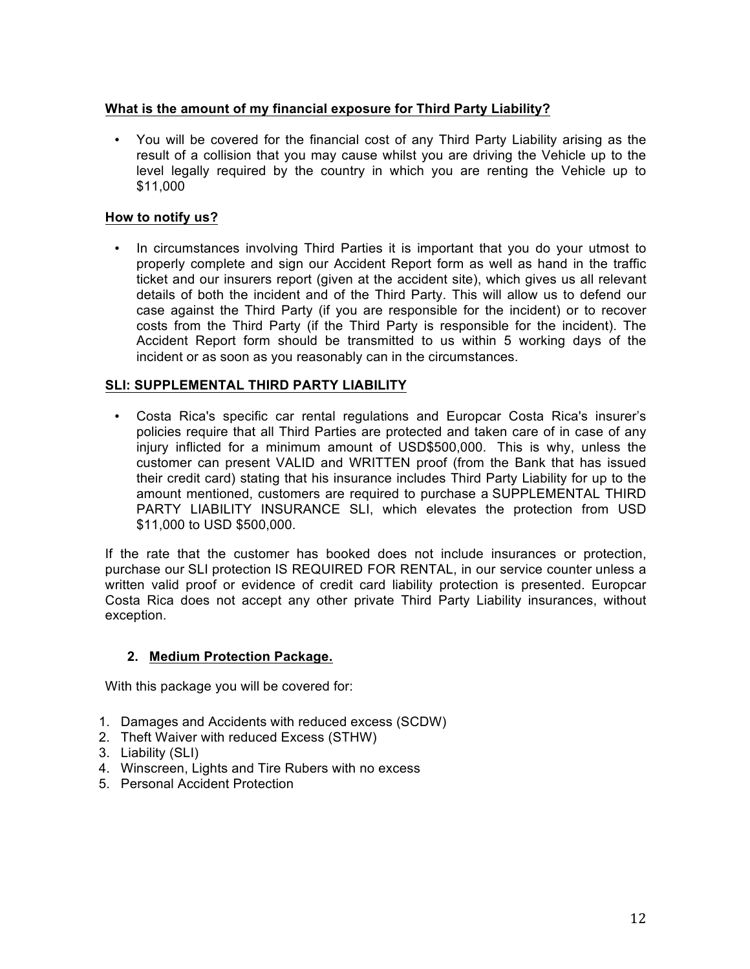## **What is the amount of my financial exposure for Third Party Liability?**

• You will be covered for the financial cost of any Third Party Liability arising as the result of a collision that you may cause whilst you are driving the Vehicle up to the level legally required by the country in which you are renting the Vehicle up to \$11,000

## **How to notify us?**

• In circumstances involving Third Parties it is important that you do your utmost to properly complete and sign our Accident Report form as well as hand in the traffic ticket and our insurers report (given at the accident site), which gives us all relevant details of both the incident and of the Third Party. This will allow us to defend our case against the Third Party (if you are responsible for the incident) or to recover costs from the Third Party (if the Third Party is responsible for the incident). The Accident Report form should be transmitted to us within 5 working days of the incident or as soon as you reasonably can in the circumstances.

## **SLI: SUPPLEMENTAL THIRD PARTY LIABILITY**

• Costa Rica's specific car rental regulations and Europcar Costa Rica's insurer's policies require that all Third Parties are protected and taken care of in case of any injury inflicted for a minimum amount of USD\$500,000. This is why, unless the customer can present VALID and WRITTEN proof (from the Bank that has issued their credit card) stating that his insurance includes Third Party Liability for up to the amount mentioned, customers are required to purchase a SUPPLEMENTAL THIRD PARTY LIABILITY INSURANCE SLI, which elevates the protection from USD \$11,000 to USD \$500,000.

If the rate that the customer has booked does not include insurances or protection, purchase our SLI protection IS REQUIRED FOR RENTAL, in our service counter unless a written valid proof or evidence of credit card liability protection is presented. Europcar Costa Rica does not accept any other private Third Party Liability insurances, without exception.

## **2. Medium Protection Package.**

With this package you will be covered for:

- 1. Damages and Accidents with reduced excess (SCDW)
- 2. Theft Waiver with reduced Excess (STHW)
- 3. Liability (SLI)
- 4. Winscreen, Lights and Tire Rubers with no excess
- 5. Personal Accident Protection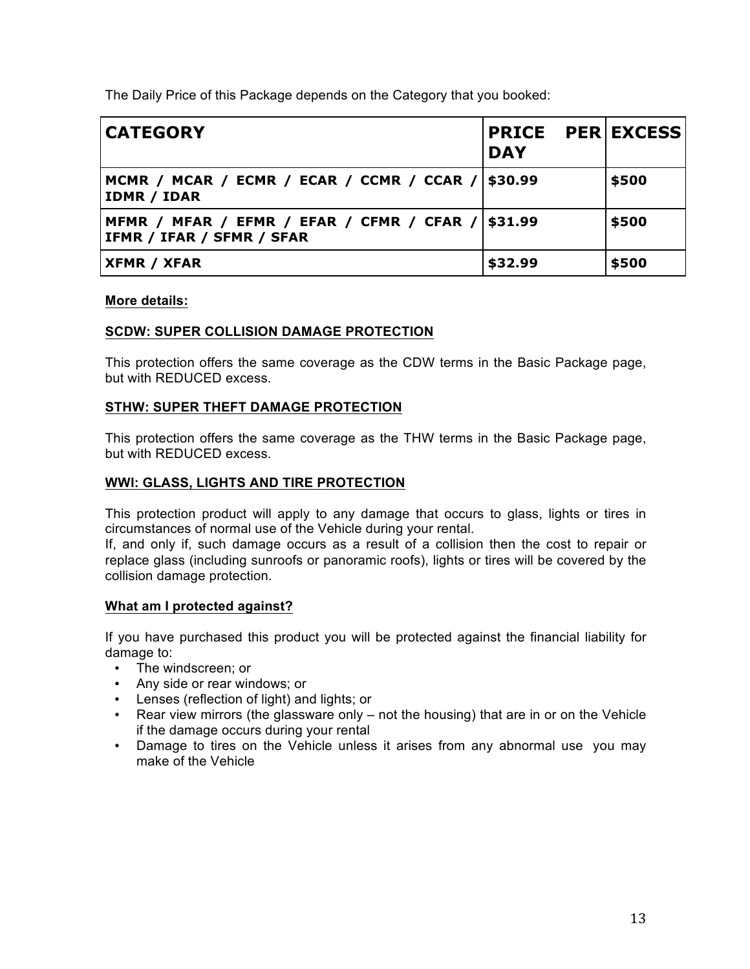The Daily Price of this Package depends on the Category that you booked:

| <b>CATEGORY</b>                                                                | <b>PRICE PER EXCESS</b><br><b>DAY</b> |       |
|--------------------------------------------------------------------------------|---------------------------------------|-------|
| MCMR / MCAR / ECMR / ECAR / CCMR / CCAR /   \$30.99<br><b>IDMR / IDAR</b>      |                                       | \$500 |
| MFMR / MFAR / EFMR / EFAR / CFMR / CFAR / \$31.99<br>IFMR / IFAR / SFMR / SFAR |                                       | \$500 |
| <b>XFMR / XFAR</b>                                                             | \$32.99                               | \$500 |

#### **More details:**

## **SCDW: SUPER COLLISION DAMAGE PROTECTION**

This protection offers the same coverage as the CDW terms in the Basic Package page, but with REDUCED excess.

#### **STHW: SUPER THEFT DAMAGE PROTECTION**

This protection offers the same coverage as the THW terms in the Basic Package page, but with REDUCED excess.

#### **WWI: GLASS, LIGHTS AND TIRE PROTECTION**

This protection product will apply to any damage that occurs to glass, lights or tires in circumstances of normal use of the Vehicle during your rental.

If, and only if, such damage occurs as a result of a collision then the cost to repair or replace glass (including sunroofs or panoramic roofs), lights or tires will be covered by the collision damage protection.

#### **What am I protected against?**

If you have purchased this product you will be protected against the financial liability for damage to:

- The windscreen; or
- Any side or rear windows; or
- Lenses (reflection of light) and lights; or
- Rear view mirrors (the glassware only not the housing) that are in or on the Vehicle if the damage occurs during your rental
- Damage to tires on the Vehicle unless it arises from any abnormal use you may make of the Vehicle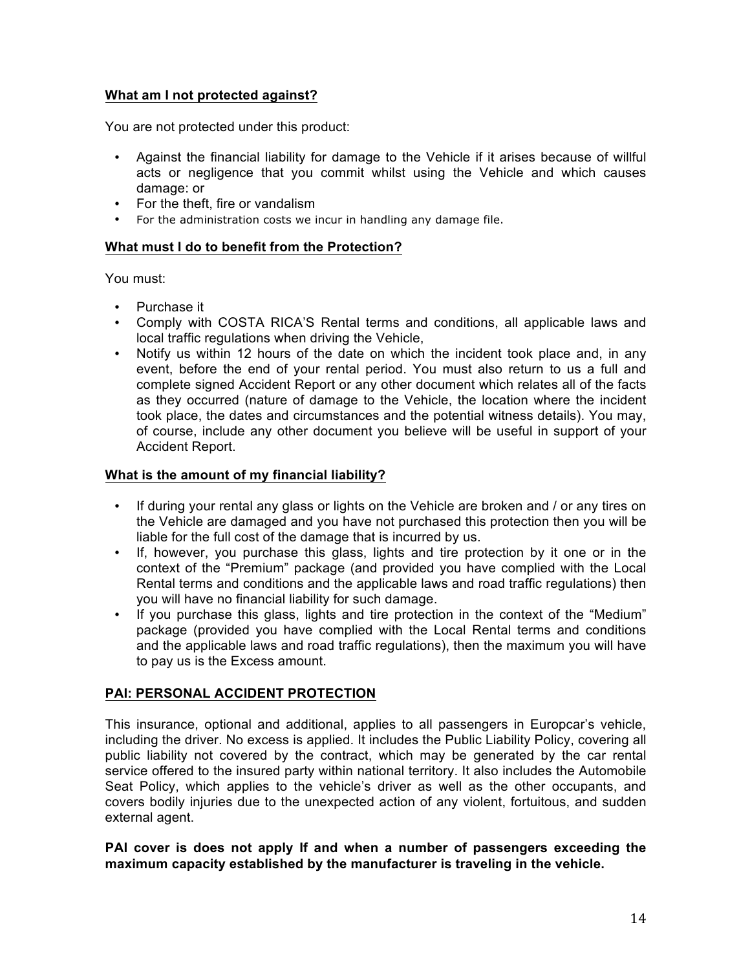## **What am I not protected against?**

You are not protected under this product:

- Against the financial liability for damage to the Vehicle if it arises because of willful acts or negligence that you commit whilst using the Vehicle and which causes damage: or
- For the theft, fire or vandalism
- For the administration costs we incur in handling any damage file.

#### **What must I do to benefit from the Protection?**

You must:

- Purchase it
- Comply with COSTA RICA'S Rental terms and conditions, all applicable laws and local traffic regulations when driving the Vehicle,
- Notify us within 12 hours of the date on which the incident took place and, in any event, before the end of your rental period. You must also return to us a full and complete signed Accident Report or any other document which relates all of the facts as they occurred (nature of damage to the Vehicle, the location where the incident took place, the dates and circumstances and the potential witness details). You may, of course, include any other document you believe will be useful in support of your Accident Report.

#### **What is the amount of my financial liability?**

- If during your rental any glass or lights on the Vehicle are broken and / or any tires on the Vehicle are damaged and you have not purchased this protection then you will be liable for the full cost of the damage that is incurred by us.
- If, however, you purchase this glass, lights and tire protection by it one or in the context of the "Premium" package (and provided you have complied with the Local Rental terms and conditions and the applicable laws and road traffic regulations) then you will have no financial liability for such damage.
- If you purchase this glass, lights and tire protection in the context of the "Medium" package (provided you have complied with the Local Rental terms and conditions and the applicable laws and road traffic regulations), then the maximum you will have to pay us is the Excess amount.

## **PAI: PERSONAL ACCIDENT PROTECTION**

This insurance, optional and additional, applies to all passengers in Europcar's vehicle, including the driver. No excess is applied. It includes the Public Liability Policy, covering all public liability not covered by the contract, which may be generated by the car rental service offered to the insured party within national territory. It also includes the Automobile Seat Policy, which applies to the vehicle's driver as well as the other occupants, and covers bodily injuries due to the unexpected action of any violent, fortuitous, and sudden external agent.

**PAI cover is does not apply If and when a number of passengers exceeding the maximum capacity established by the manufacturer is traveling in the vehicle.**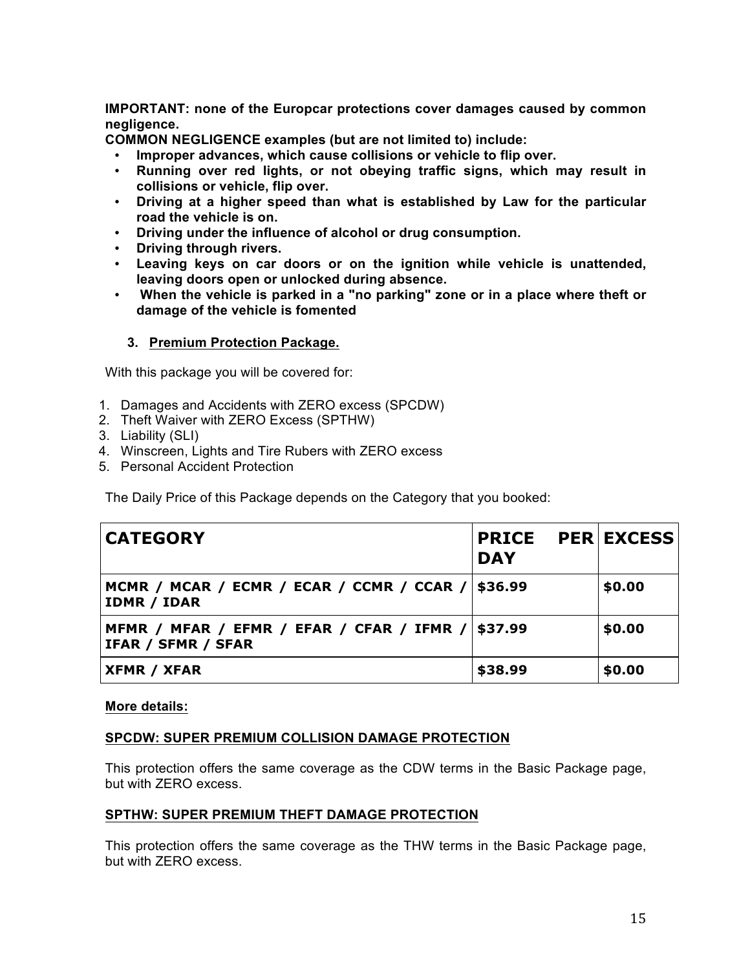**IMPORTANT: none of the Europcar protections cover damages caused by common negligence.**

**COMMON NEGLIGENCE examples (but are not limited to) include:**

- **Improper advances, which cause collisions or vehicle to flip over.**
- **Running over red lights, or not obeying traffic signs, which may result in collisions or vehicle, flip over.**
- **Driving at a higher speed than what is established by Law for the particular road the vehicle is on.**
- **Driving under the influence of alcohol or drug consumption.**
- **Driving through rivers.**
- **Leaving keys on car doors or on the ignition while vehicle is unattended, leaving doors open or unlocked during absence.**
- **When the vehicle is parked in a "no parking" zone or in a place where theft or damage of the vehicle is fomented**

#### **3. Premium Protection Package.**

With this package you will be covered for:

- 1. Damages and Accidents with ZERO excess (SPCDW)
- 2. Theft Waiver with ZERO Excess (SPTHW)
- 3. Liability (SLI)
- 4. Winscreen, Lights and Tire Rubers with ZERO excess
- 5. Personal Accident Protection

The Daily Price of this Package depends on the Category that you booked:

| <b>CATEGORY</b>                                                 | <b>PRICE</b><br><b>DAY</b> | <b>PER EXCESS</b> |
|-----------------------------------------------------------------|----------------------------|-------------------|
| MCMR / MCAR / ECMR / ECAR / CCMR / CCAR /<br><b>IDMR / IDAR</b> | \$36.99                    | \$0.00            |
| MFMR / MFAR / EFMR / EFAR / CFAR / IFMR /<br>IFAR / SFMR / SFAR | \$37.99                    | \$0.00            |
| <b>XFMR / XFAR</b>                                              | \$38.99                    | \$0.00            |

#### **More details:**

#### **SPCDW: SUPER PREMIUM COLLISION DAMAGE PROTECTION**

This protection offers the same coverage as the CDW terms in the Basic Package page, but with ZERO excess.

#### **SPTHW: SUPER PREMIUM THEFT DAMAGE PROTECTION**

This protection offers the same coverage as the THW terms in the Basic Package page, but with ZERO excess.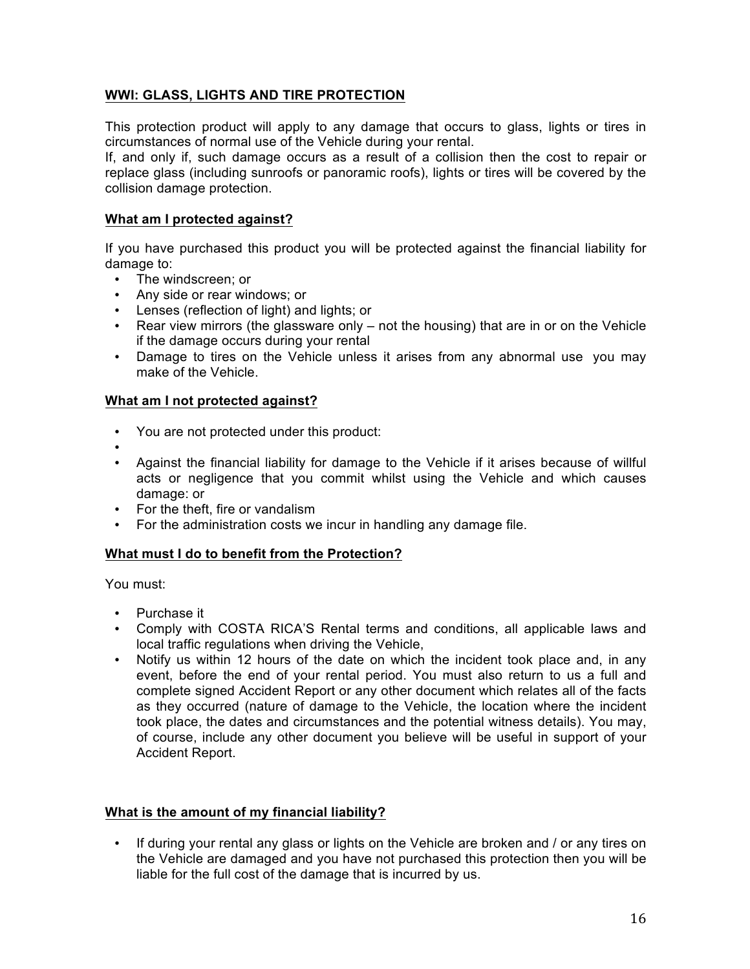## **WWI: GLASS, LIGHTS AND TIRE PROTECTION**

This protection product will apply to any damage that occurs to glass, lights or tires in circumstances of normal use of the Vehicle during your rental.

If, and only if, such damage occurs as a result of a collision then the cost to repair or replace glass (including sunroofs or panoramic roofs), lights or tires will be covered by the collision damage protection.

#### **What am I protected against?**

If you have purchased this product you will be protected against the financial liability for damage to:

- The windscreen; or
- Any side or rear windows; or
- Lenses (reflection of light) and lights; or
- Rear view mirrors (the glassware only not the housing) that are in or on the Vehicle if the damage occurs during your rental
- Damage to tires on the Vehicle unless it arises from any abnormal use you may make of the Vehicle.

#### **What am I not protected against?**

- You are not protected under this product:
- •
- Against the financial liability for damage to the Vehicle if it arises because of willful acts or negligence that you commit whilst using the Vehicle and which causes damage: or
- For the theft, fire or vandalism
- For the administration costs we incur in handling any damage file.

#### **What must I do to benefit from the Protection?**

You must:

- Purchase it
- Comply with COSTA RICA'S Rental terms and conditions, all applicable laws and local traffic regulations when driving the Vehicle,
- Notify us within 12 hours of the date on which the incident took place and, in any event, before the end of your rental period. You must also return to us a full and complete signed Accident Report or any other document which relates all of the facts as they occurred (nature of damage to the Vehicle, the location where the incident took place, the dates and circumstances and the potential witness details). You may, of course, include any other document you believe will be useful in support of your Accident Report.

## **What is the amount of my financial liability?**

• If during your rental any glass or lights on the Vehicle are broken and / or any tires on the Vehicle are damaged and you have not purchased this protection then you will be liable for the full cost of the damage that is incurred by us.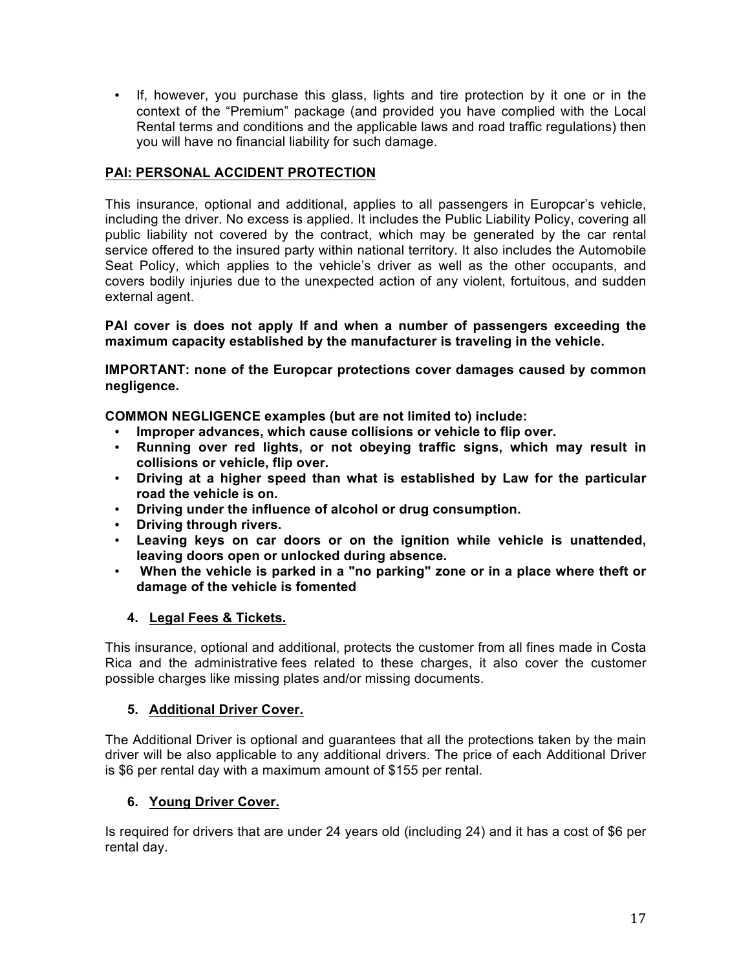• If, however, you purchase this glass, lights and tire protection by it one or in the context of the "Premium" package (and provided you have complied with the Local Rental terms and conditions and the applicable laws and road traffic regulations) then you will have no financial liability for such damage.

## **PAI: PERSONAL ACCIDENT PROTECTION**

This insurance, optional and additional, applies to all passengers in Europcar's vehicle, including the driver. No excess is applied. It includes the Public Liability Policy, covering all public liability not covered by the contract, which may be generated by the car rental service offered to the insured party within national territory. It also includes the Automobile Seat Policy, which applies to the vehicle's driver as well as the other occupants, and covers bodily injuries due to the unexpected action of any violent, fortuitous, and sudden external agent.

**PAI cover is does not apply If and when a number of passengers exceeding the maximum capacity established by the manufacturer is traveling in the vehicle.**

**IMPORTANT: none of the Europcar protections cover damages caused by common negligence.**

**COMMON NEGLIGENCE examples (but are not limited to) include:**

- **Improper advances, which cause collisions or vehicle to flip over.**
- **Running over red lights, or not obeying traffic signs, which may result in collisions or vehicle, flip over.**
- **Driving at a higher speed than what is established by Law for the particular road the vehicle is on.**
- **Driving under the influence of alcohol or drug consumption.**
- **Driving through rivers.**
- **Leaving keys on car doors or on the ignition while vehicle is unattended, leaving doors open or unlocked during absence.**
- **When the vehicle is parked in a "no parking" zone or in a place where theft or damage of the vehicle is fomented**

## **4. Legal Fees & Tickets.**

This insurance, optional and additional, protects the customer from all fines made in Costa Rica and the administrative fees related to these charges, it also cover the customer possible charges like missing plates and/or missing documents.

## **5. Additional Driver Cover.**

The Additional Driver is optional and guarantees that all the protections taken by the main driver will be also applicable to any additional drivers. The price of each Additional Driver is \$6 per rental day with a maximum amount of \$155 per rental.

## **6. Young Driver Cover.**

Is required for drivers that are under 24 years old (including 24) and it has a cost of \$6 per rental day.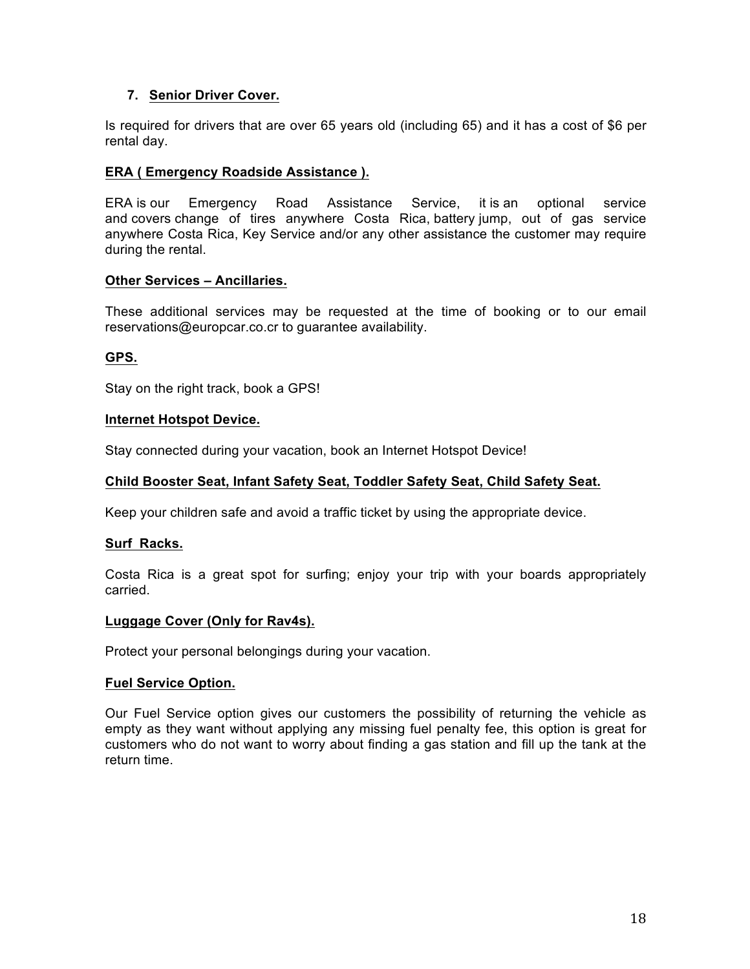## **7. Senior Driver Cover.**

Is required for drivers that are over 65 years old (including 65) and it has a cost of \$6 per rental day.

## **ERA ( Emergency Roadside Assistance ).**

ERA is our Emergency Road Assistance Service, it is an optional service and covers change of tires anywhere Costa Rica, battery jump, out of gas service anywhere Costa Rica, Key Service and/or any other assistance the customer may require during the rental.

#### **Other Services – Ancillaries.**

These additional services may be requested at the time of booking or to our email reservations@europcar.co.cr to guarantee availability.

## **GPS.**

Stay on the right track, book a GPS!

#### **Internet Hotspot Device.**

Stay connected during your vacation, book an Internet Hotspot Device!

#### **Child Booster Seat, Infant Safety Seat, Toddler Safety Seat, Child Safety Seat.**

Keep your children safe and avoid a traffic ticket by using the appropriate device.

#### **Surf Racks.**

Costa Rica is a great spot for surfing; enjoy your trip with your boards appropriately carried.

#### **Luggage Cover (Only for Rav4s).**

Protect your personal belongings during your vacation.

#### **Fuel Service Option.**

Our Fuel Service option gives our customers the possibility of returning the vehicle as empty as they want without applying any missing fuel penalty fee, this option is great for customers who do not want to worry about finding a gas station and fill up the tank at the return time.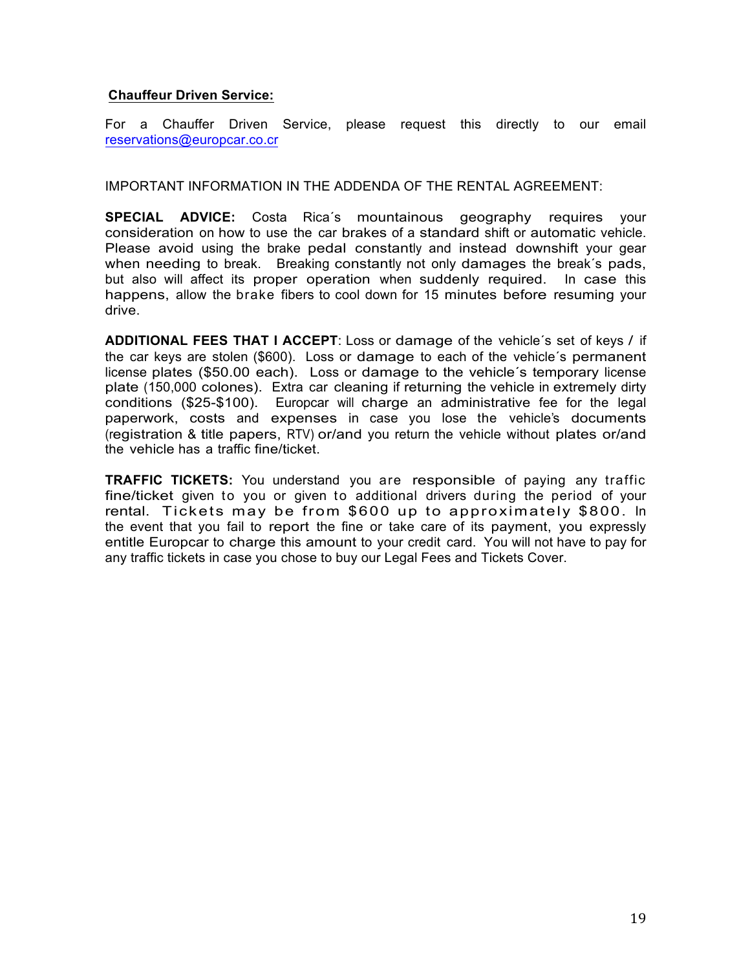#### **Chauffeur Driven Service:**

For a Chauffer Driven Service, please request this directly to our email reservations@europcar.co.cr

IMPORTANT INFORMATION IN THE ADDENDA OF THE RENTAL AGREEMENT:

**SPECIAL ADVICE:** Costa Rica´s mountainous geography requires your consideration on how to use the car brakes of a standard shift or automatic vehicle. Please avoid using the brake pedal constantly and instead downshift your gear when needing to break. Breaking constantly not only damages the break's pads, but also will affect its proper operation when suddenly required. In case this happens, allow the brake fibers to cool down for 15 minutes before resuming your drive.

**ADDITIONAL FEES THAT I ACCEPT**: Loss or damage of the vehicle´s set of keys / if the car keys are stolen (\$600). Loss or damage to each of the vehicle´s permanent license plates (\$50.00 each). Loss or damage to the vehicle´s temporary license plate (150,000 colones). Extra car cleaning if returning the vehicle in extremely dirty conditions (\$25-\$100). Europcar will charge an administrative fee for the legal paperwork, costs and expenses in case you lose the vehicle's documents (registration & title papers, RTV) or/and you return the vehicle without plates or/and the vehicle has a traffic fine/ticket.

**TRAFFIC TICKETS:** You understand you are responsible of paying any traffic fine/ticket given to you or given to additional drivers during the period of your rental. Tickets may be from \$600 up to approximately \$800. In the event that you fail to report the fine or take care of its payment, you expressly entitle Europcar to charge this amount to your credit card. You will not have to pay for any traffic tickets in case you chose to buy our Legal Fees and Tickets Cover.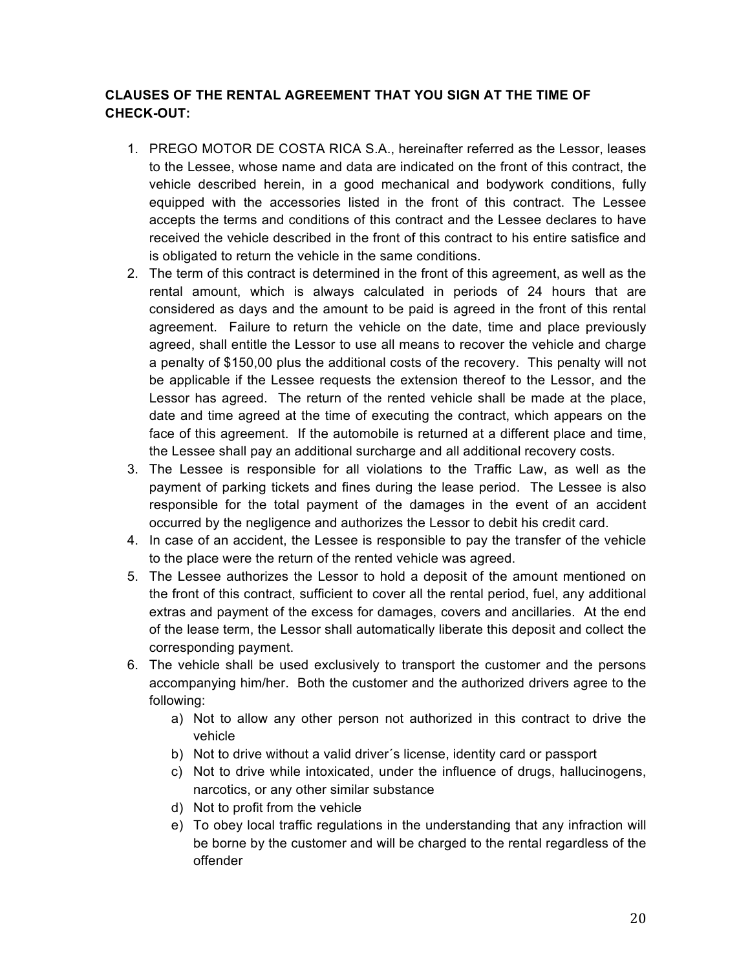## **CLAUSES OF THE RENTAL AGREEMENT THAT YOU SIGN AT THE TIME OF CHECK-OUT:**

- 1. PREGO MOTOR DE COSTA RICA S.A., hereinafter referred as the Lessor, leases to the Lessee, whose name and data are indicated on the front of this contract, the vehicle described herein, in a good mechanical and bodywork conditions, fully equipped with the accessories listed in the front of this contract. The Lessee accepts the terms and conditions of this contract and the Lessee declares to have received the vehicle described in the front of this contract to his entire satisfice and is obligated to return the vehicle in the same conditions.
- 2. The term of this contract is determined in the front of this agreement, as well as the rental amount, which is always calculated in periods of 24 hours that are considered as days and the amount to be paid is agreed in the front of this rental agreement. Failure to return the vehicle on the date, time and place previously agreed, shall entitle the Lessor to use all means to recover the vehicle and charge a penalty of \$150,00 plus the additional costs of the recovery. This penalty will not be applicable if the Lessee requests the extension thereof to the Lessor, and the Lessor has agreed. The return of the rented vehicle shall be made at the place, date and time agreed at the time of executing the contract, which appears on the face of this agreement. If the automobile is returned at a different place and time, the Lessee shall pay an additional surcharge and all additional recovery costs.
- 3. The Lessee is responsible for all violations to the Traffic Law, as well as the payment of parking tickets and fines during the lease period. The Lessee is also responsible for the total payment of the damages in the event of an accident occurred by the negligence and authorizes the Lessor to debit his credit card.
- 4. In case of an accident, the Lessee is responsible to pay the transfer of the vehicle to the place were the return of the rented vehicle was agreed.
- 5. The Lessee authorizes the Lessor to hold a deposit of the amount mentioned on the front of this contract, sufficient to cover all the rental period, fuel, any additional extras and payment of the excess for damages, covers and ancillaries. At the end of the lease term, the Lessor shall automatically liberate this deposit and collect the corresponding payment.
- 6. The vehicle shall be used exclusively to transport the customer and the persons accompanying him/her. Both the customer and the authorized drivers agree to the following:
	- a) Not to allow any other person not authorized in this contract to drive the vehicle
	- b) Not to drive without a valid driver´s license, identity card or passport
	- c) Not to drive while intoxicated, under the influence of drugs, hallucinogens, narcotics, or any other similar substance
	- d) Not to profit from the vehicle
	- e) To obey local traffic regulations in the understanding that any infraction will be borne by the customer and will be charged to the rental regardless of the offender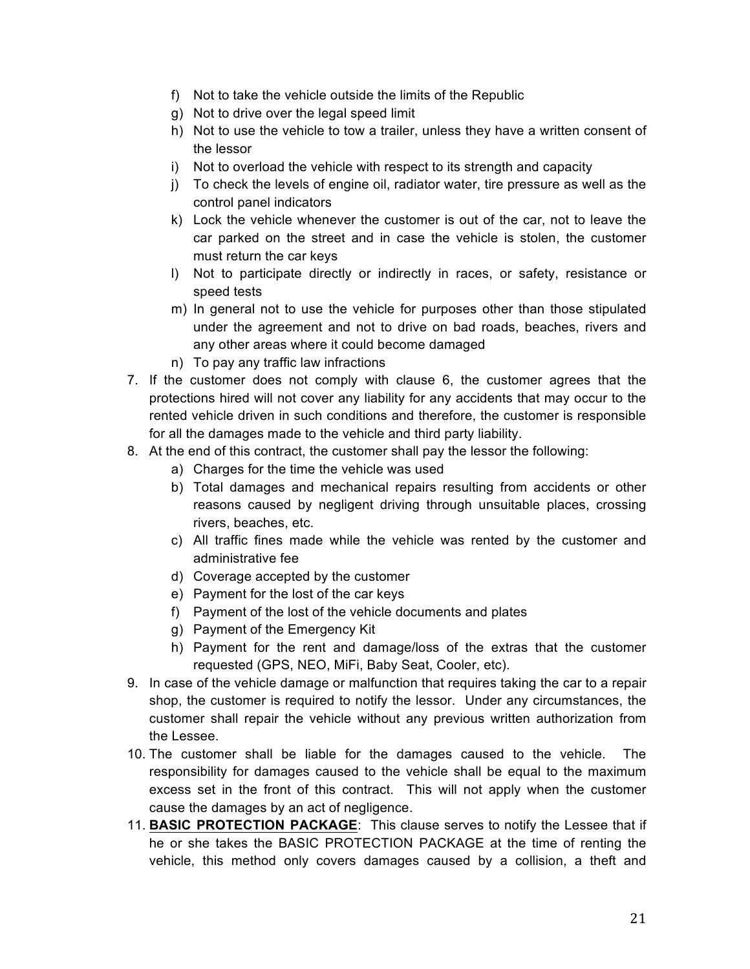- f) Not to take the vehicle outside the limits of the Republic
- g) Not to drive over the legal speed limit
- h) Not to use the vehicle to tow a trailer, unless they have a written consent of the lessor
- i) Not to overload the vehicle with respect to its strength and capacity
- j) To check the levels of engine oil, radiator water, tire pressure as well as the control panel indicators
- k) Lock the vehicle whenever the customer is out of the car, not to leave the car parked on the street and in case the vehicle is stolen, the customer must return the car keys
- l) Not to participate directly or indirectly in races, or safety, resistance or speed tests
- m) In general not to use the vehicle for purposes other than those stipulated under the agreement and not to drive on bad roads, beaches, rivers and any other areas where it could become damaged
- n) To pay any traffic law infractions
- 7. If the customer does not comply with clause 6, the customer agrees that the protections hired will not cover any liability for any accidents that may occur to the rented vehicle driven in such conditions and therefore, the customer is responsible for all the damages made to the vehicle and third party liability.
- 8. At the end of this contract, the customer shall pay the lessor the following:
	- a) Charges for the time the vehicle was used
	- b) Total damages and mechanical repairs resulting from accidents or other reasons caused by negligent driving through unsuitable places, crossing rivers, beaches, etc.
	- c) All traffic fines made while the vehicle was rented by the customer and administrative fee
	- d) Coverage accepted by the customer
	- e) Payment for the lost of the car keys
	- f) Payment of the lost of the vehicle documents and plates
	- g) Payment of the Emergency Kit
	- h) Payment for the rent and damage/loss of the extras that the customer requested (GPS, NEO, MiFi, Baby Seat, Cooler, etc).
- 9. In case of the vehicle damage or malfunction that requires taking the car to a repair shop, the customer is required to notify the lessor. Under any circumstances, the customer shall repair the vehicle without any previous written authorization from the Lessee.
- 10. The customer shall be liable for the damages caused to the vehicle. The responsibility for damages caused to the vehicle shall be equal to the maximum excess set in the front of this contract. This will not apply when the customer cause the damages by an act of negligence.
- 11. **BASIC PROTECTION PACKAGE**: This clause serves to notify the Lessee that if he or she takes the BASIC PROTECTION PACKAGE at the time of renting the vehicle, this method only covers damages caused by a collision, a theft and